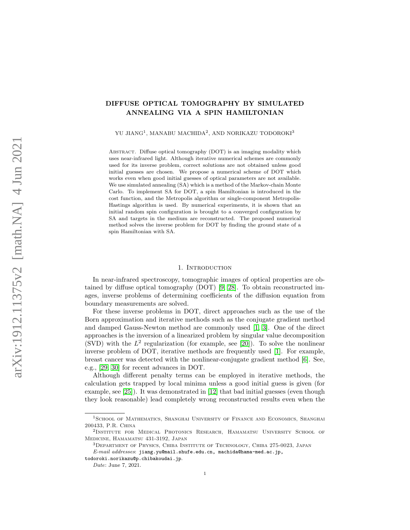# DIFFUSE OPTICAL TOMOGRAPHY BY SIMULATED ANNEALING VIA A SPIN HAMILTONIAN

YU JIANG<sup>1</sup>, MANABU MACHIDA<sup>2</sup>, AND NORIKAZU TODOROKI<sup>3</sup>

Abstract. Diffuse optical tomography (DOT) is an imaging modality which uses near-infrared light. Although iterative numerical schemes are commonly used for its inverse problem, correct solutions are not obtained unless good initial guesses are chosen. We propose a numerical scheme of DOT which works even when good initial guesses of optical parameters are not available. We use simulated annealing (SA) which is a method of the Markov-chain Monte Carlo. To implement SA for DOT, a spin Hamiltonian is introduced in the cost function, and the Metropolis algorithm or single-component Metropolis-Hastings algorithm is used. By numerical experiments, it is shown that an initial random spin configuration is brought to a converged configuration by SA and targets in the medium are reconstructed. The proposed numerical method solves the inverse problem for DOT by finding the ground state of a spin Hamiltonian with SA.

#### 1. INTRODUCTION

In near-infrared spectroscopy, tomographic images of optical properties are obtained by diffuse optical tomography (DOT) [\[9,](#page-13-0) [28\]](#page-14-0). To obtain reconstructed images, inverse problems of determining coefficients of the diffusion equation from boundary measurements are solved.

For these inverse problems in DOT, direct approaches such as the use of the Born approximation and iterative methods such as the conjugate gradient method and damped Gauss-Newton method are commonly used [\[1,](#page-13-1) [3\]](#page-13-2). One of the direct approaches is the inversion of a linearized problem by singular value decomposition (SVD) with the  $L^2$  regularization (for example, see [\[20\]](#page-13-3)). To solve the nonlinear inverse problem of DOT, iterative methods are frequently used [\[1\]](#page-13-1). For example, breast cancer was detected with the nonlinear-conjugate gradient method [\[6\]](#page-13-4). See, e.g., [\[29,](#page-14-1) [30\]](#page-14-2) for recent advances in DOT.

Although different penalty terms can be employed in iterative methods, the calculation gets trapped by local minima unless a good initial guess is given (for example, see [\[25\]](#page-14-3)). It was demonstrated in [\[12\]](#page-13-5) that bad initial guesses (even though they look reasonable) lead completely wrong reconstructed results even when the

<sup>&</sup>lt;sup>1</sup>SCHOOL OF MATHEMATICS, SHANGHAI UNIVERSITY OF FINANCE AND ECONOMICS, SHANGHAI 200433, P.R. China

<sup>&</sup>lt;sup>2</sup>Institute for Medical Photonics Research, Hamamatsu University School of Medicine, Hamamatsu 431-3192, Japan

<sup>3</sup>Department of Physics, Chiba Institute of Technology, Chiba 275-0023, Japan E-mail addresses: jiang.yu@mail.shufe.edu.cn, machida@hama-med.ac.jp,

todoroki.norikazu@p.chibakoudai.jp.

Date: June 7, 2021.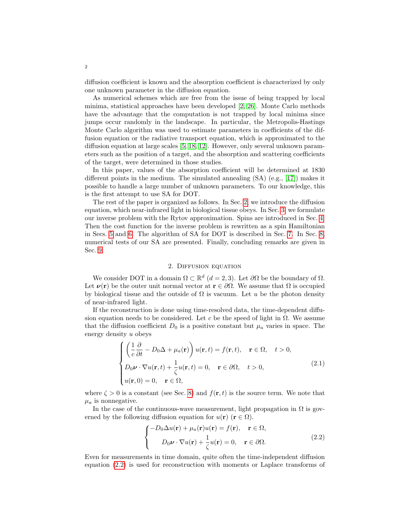diffusion coefficient is known and the absorption coefficient is characterized by only one unknown parameter in the diffusion equation.

As numerical schemes which are free from the issue of being trapped by local minima, statistical approaches have been developed [\[2,](#page-13-6) [26\]](#page-14-4). Monte Carlo methods have the advantage that the computation is not trapped by local minima since jumps occur randomly in the landscape. In particular, the Metropolis-Hastings Monte Carlo algorithm was used to estimate parameters in coefficients of the diffusion equation or the radiative transport equation, which is approximated to the diffusion equation at large scales [\[5,](#page-13-7) [18,](#page-13-8) [12\]](#page-13-5). However, only several unknown parameters such as the position of a target, and the absorption and scattering coefficients of the target, were determined in those studies.

In this paper, values of the absorption coefficient will be determined at 1830 different points in the medium. The simulated annealing (SA) (e.g., [\[17\]](#page-13-9)) makes it possible to handle a large number of unknown parameters. To our knowledge, this is the first attempt to use SA for DOT.

The rest of the paper is organized as follows. In Sec. [2,](#page-1-0) we introduce the diffusion equation, which near-infrared light in biological tissue obeys. In Sec. [3,](#page-2-0) we formulate our inverse problem with the Rytov approximation. Spins are introduced in Sec. [4.](#page-4-0) Then the cost function for the inverse problem is rewritten as a spin Hamiltonian in Secs. [5](#page-4-1) and [6.](#page-6-0) The algorithm of SA for DOT is described in Sec. [7.](#page-8-0) In Sec. [8,](#page-9-0) numerical tests of our SA are presented. Finally, concluding remarks are given in Sec. [9.](#page-12-0)

## 2. Diffusion equation

<span id="page-1-0"></span>We consider DOT in a domain  $\Omega \subset \mathbb{R}^d$   $(d = 2, 3)$ . Let  $\partial \Omega$  be the boundary of  $\Omega$ . Let  $\nu(\mathbf{r})$  be the outer unit normal vector at  $\mathbf{r} \in \partial\Omega$ . We assume that  $\Omega$  is occupied by biological tissue and the outside of  $\Omega$  is vacuum. Let u be the photon density of near-infrared light.

If the reconstruction is done using time-resolved data, the time-dependent diffusion equation needs to be considered. Let c be the speed of light in  $\Omega$ . We assume that the diffusion coefficient  $D_0$  is a positive constant but  $\mu_a$  varies in space. The energy density u obeys

<span id="page-1-2"></span>
$$
\begin{cases}\n\left(\frac{1}{c}\frac{\partial}{\partial t} - D_0\Delta + \mu_a(\mathbf{r})\right)u(\mathbf{r}, t) = f(\mathbf{r}, t), & \mathbf{r} \in \Omega, \quad t > 0, \\
D_0 \nu \cdot \nabla u(\mathbf{r}, t) + \frac{1}{\zeta}u(\mathbf{r}, t) = 0, & \mathbf{r} \in \partial\Omega, \quad t > 0, \\
u(\mathbf{r}, 0) = 0, & \mathbf{r} \in \Omega,\n\end{cases}
$$
\n(2.1)

where  $\zeta > 0$  is a constant (see Sec. [8\)](#page-9-0) and  $f(\mathbf{r}, t)$  is the source term. We note that  $\mu_a$  is nonnegative.

In the case of the continuous-wave measurement, light propagation in  $\Omega$  is governed by the following diffusion equation for  $u(\mathbf{r})$  ( $\mathbf{r} \in \Omega$ ).

<span id="page-1-1"></span>
$$
\begin{cases}\n-D_0 \Delta u(\mathbf{r}) + \mu_a(\mathbf{r}) u(\mathbf{r}) = f(\mathbf{r}), & \mathbf{r} \in \Omega, \\
D_0 \mathbf{v} \cdot \nabla u(\mathbf{r}) + \frac{1}{\zeta} u(\mathbf{r}) = 0, & \mathbf{r} \in \partial \Omega.\n\end{cases}
$$
\n(2.2)

Even for measurements in time domain, quite often the time-independent diffusion equation [\(2.2\)](#page-1-1) is used for reconstruction with moments or Laplace transforms of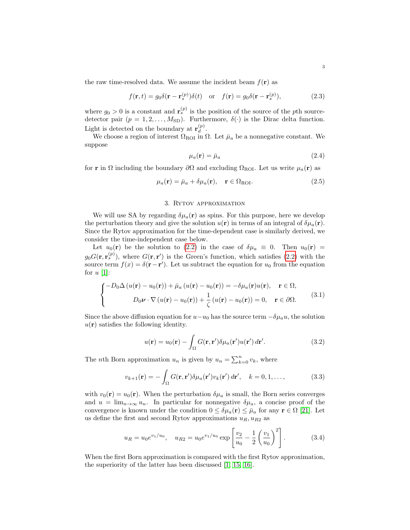the raw time-resolved data. We assume the incident beam  $f(\mathbf{r})$  as

$$
f(\mathbf{r},t) = g_0 \delta(\mathbf{r} - \mathbf{r}_s^{(p)}) \delta(t) \quad \text{or} \quad f(\mathbf{r}) = g_0 \delta(\mathbf{r} - \mathbf{r}_s^{(p)}), \tag{2.3}
$$

where  $g_0 > 0$  is a constant and  $\mathbf{r}_s^{(p)}$  is the position of the source of the pth sourcedetector pair  $(p = 1, 2, ..., M_{SD})$ . Furthermore,  $\delta(\cdot)$  is the Dirac delta function. Light is detected on the boundary at  $\mathbf{r}_{d}^{(p)}$  $a^{(p)}$ .

We choose a region of interest  $\Omega_{\text{ROI}}$  in  $\Omega$ . Let  $\bar{\mu}_a$  be a nonnegative constant. We suppose

$$
\mu_a(\mathbf{r}) = \bar{\mu}_a \tag{2.4}
$$

for **r** in  $\Omega$  including the boundary  $\partial\Omega$  and excluding  $\Omega_{\text{ROI}}$ . Let us write  $\mu_a(\mathbf{r})$  as

$$
\mu_a(\mathbf{r}) = \bar{\mu}_a + \delta \mu_a(\mathbf{r}), \quad \mathbf{r} \in \Omega_{\text{ROI}}.\tag{2.5}
$$

### 3. Rytov approximation

<span id="page-2-0"></span>We will use SA by regarding  $\delta \mu_a(\mathbf{r})$  as spins. For this purpose, here we develop the perturbation theory and give the solution  $u(\mathbf{r})$  in terms of an integral of  $\delta\mu_a(\mathbf{r})$ . Since the Rytov approximation for the time-dependent case is similarly derived, we consider the time-independent case below.

Let  $u_0(\mathbf{r})$  be the solution to [\(2.2\)](#page-1-1) in the case of  $\delta \mu_a \equiv 0$ . Then  $u_0(\mathbf{r}) =$  $g_0G(\mathbf{r}, \mathbf{r}_s^{(p)})$ , where  $G(\mathbf{r}, \mathbf{r}')$  is the Green's function, which satisfies [\(2.2\)](#page-1-1) with the source term  $f(x) = \delta(\mathbf{r} - \mathbf{r}')$ . Let us subtract the equation for  $u_0$  from the equation for  $u$  [\[1\]](#page-13-1):

$$
\begin{cases}\n-D_0 \Delta (u(\mathbf{r}) - u_0(\mathbf{r})) + \bar{\mu}_a (u(\mathbf{r}) - u_0(\mathbf{r})) = -\delta \mu_a(\mathbf{r}) u(\mathbf{r}), & \mathbf{r} \in \Omega, \\
D_0 \nu \cdot \nabla (u(\mathbf{r}) - u_0(\mathbf{r})) + \frac{1}{\zeta} (u(\mathbf{r}) - u_0(\mathbf{r})) = 0, & \mathbf{r} \in \partial \Omega.\n\end{cases}
$$
\n(3.1)

Since the above diffusion equation for  $u-u_0$  has the source term  $-\delta\mu_a u$ , the solution  $u(\mathbf{r})$  satisfies the following identity.

$$
u(\mathbf{r}) = u_0(\mathbf{r}) - \int_{\Omega} G(\mathbf{r}, \mathbf{r}') \delta \mu_a(\mathbf{r}') u(\mathbf{r}') d\mathbf{r}'. \qquad (3.2)
$$

The *n*th Born approximation  $u_n$  is given by  $u_n = \sum_{k=0}^n v_k$ , where

$$
v_{k+1}(\mathbf{r}) = -\int_{\Omega} G(\mathbf{r}, \mathbf{r}') \delta \mu_a(\mathbf{r}') v_k(\mathbf{r}') d\mathbf{r}', \quad k = 0, 1, ..., \qquad (3.3)
$$

with  $v_0(\mathbf{r}) = u_0(\mathbf{r})$ . When the perturbation  $\delta \mu_a$  is small, the Born series converges and  $u = \lim_{n \to \infty} u_n$ . In particular for nonnegative  $\delta \mu_a$ , a concise proof of the convergence is known under the condition  $0 \leq \delta \mu_a(\mathbf{r}) \leq \bar{\mu}_a$  for any  $\mathbf{r} \in \Omega$  [\[21\]](#page-14-5). Let us define the first and second Rytov approximations  $u_R, u_{R2}$  as

$$
u_R = u_0 e^{v_1/u_0}, \quad u_{R2} = u_0 e^{v_1/u_0} \exp\left[\frac{v_2}{u_0} - \frac{1}{2} \left(\frac{v_1}{u_0}\right)^2\right].
$$
 (3.4)

When the first Born approximation is compared with the first Rytov approximation, the superiority of the latter has been discussed [\[1,](#page-13-1) [15,](#page-13-10) [16\]](#page-13-11).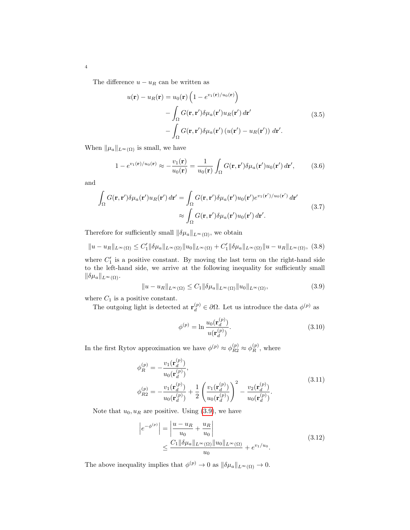The difference  $u - u_R$  can be written as

$$
u(\mathbf{r}) - u_R(\mathbf{r}) = u_0(\mathbf{r}) \left( 1 - e^{v_1(\mathbf{r})/u_0(\mathbf{r})} \right)
$$

$$
- \int_{\Omega} G(\mathbf{r}, \mathbf{r}') \delta \mu_a(\mathbf{r}') u_R(\mathbf{r}') d\mathbf{r}'
$$

$$
- \int_{\Omega} G(\mathbf{r}, \mathbf{r}') \delta \mu_a(\mathbf{r}') \left( u(\mathbf{r}') - u_R(\mathbf{r}') \right) d\mathbf{r}'.
$$
(3.5)

When  $\|\mu_a\|_{L^{\infty}(\Omega)}$  is small, we have

$$
1 - e^{v_1(\mathbf{r})/u_0(\mathbf{r})} \approx -\frac{v_1(\mathbf{r})}{u_0(\mathbf{r})} = \frac{1}{u_0(\mathbf{r})} \int_{\Omega} G(\mathbf{r}, \mathbf{r}') \delta \mu_a(\mathbf{r}') u_0(\mathbf{r}') d\mathbf{r}',\tag{3.6}
$$

and

$$
\int_{\Omega} G(\mathbf{r}, \mathbf{r}') \delta \mu_a(\mathbf{r}') u_R(\mathbf{r}') d\mathbf{r}' = \int_{\Omega} G(\mathbf{r}, \mathbf{r}') \delta \mu_a(\mathbf{r}') u_0(\mathbf{r}') e^{v_1(\mathbf{r}')/u_0(\mathbf{r}')} d\mathbf{r}'
$$
\n
$$
\approx \int_{\Omega} G(\mathbf{r}, \mathbf{r}') \delta \mu_a(\mathbf{r}') u_0(\mathbf{r}') d\mathbf{r}'.
$$
\n(3.7)

Therefore for sufficiently small  $\|\delta\mu_a\|_{L^\infty(\Omega)}$ , we obtain

$$
||u - u_R||_{L^{\infty}(\Omega)} \le C_1'||\delta\mu_a||_{L^{\infty}(\Omega)} ||u_0||_{L^{\infty}(\Omega)} + C_1'||\delta\mu_a||_{L^{\infty}(\Omega)} ||u - u_R||_{L^{\infty}(\Omega)},
$$
(3.8)

where  $C'_1$  is a positive constant. By moving the last term on the right-hand side to the left-hand side, we arrive at the following inequality for sufficiently small  $\|\delta\mu_a\|_{L^\infty(\Omega)}$ .

<span id="page-3-0"></span>
$$
||u - u_R||_{L^{\infty}(\Omega)} \le C_1 ||\delta \mu_a||_{L^{\infty}(\Omega)} ||u_0||_{L^{\infty}(\Omega)},
$$
\n(3.9)

where  $C_1$  is a positive constant.

The outgoing light is detected at  $\mathbf{r}_d^{(p)} \in \partial \Omega$ . Let us introduce the data  $\phi^{(p)}$  as

$$
\phi^{(p)} = \ln \frac{u_0(\mathbf{r}_d^{(p)})}{u(\mathbf{r}_d^{(p)})}.
$$
\n(3.10)

In the first Rytov approximation we have  $\phi^{(p)} \approx \phi^{(p)}_{R2} \approx \phi^{(p)}_R$ , where

$$
\phi_R^{(p)} = -\frac{v_1(\mathbf{r}_d^{(p)})}{u_0(\mathbf{r}_d^{(p)})}, \n\phi_{R2}^{(p)} = -\frac{v_1(\mathbf{r}_d^{(p)})}{u_0(\mathbf{r}_d^{(p)})} + \frac{1}{2} \left( \frac{v_1(\mathbf{r}_d^{(p)})}{u_0(\mathbf{r}_d^{(p)})} \right)^2 - \frac{v_2(\mathbf{r}_d^{(p)})}{u_0(\mathbf{r}_d^{(p)})}.
$$
\n(3.11)

Note that  $u_0, u_R$  are positive. Using [\(3.9\)](#page-3-0), we have

$$
\begin{aligned} \left| e^{-\phi^{(p)}} \right| &= \left| \frac{u - u_R}{u_0} + \frac{u_R}{u_0} \right| \\ &\le \frac{C_1 \|\delta \mu_a\|_{L^\infty(\Omega)} \|u_0\|_{L^\infty(\Omega)}}{u_0} + e^{v_1/u_0} . \end{aligned} \tag{3.12}
$$

The above inequality implies that  $\phi^{(p)} \to 0$  as  $\|\delta \mu_a\|_{L^\infty(\Omega)} \to 0$ .

4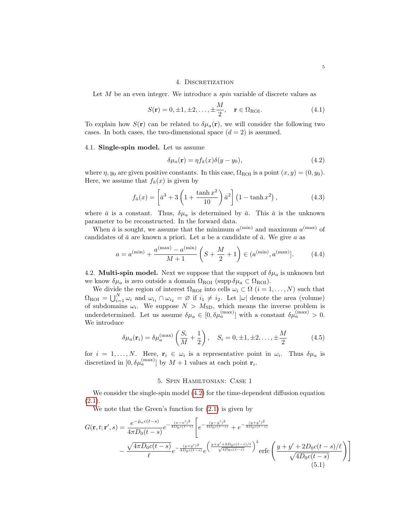#### 4. DISCRETIZATION

<span id="page-4-0"></span>Let M be an even integer. We introduce a *spin* variable of discrete values as

$$
S(\mathbf{r}) = 0, \pm 1, \pm 2, \dots, \pm \frac{M}{2}, \quad \mathbf{r} \in \Omega_{\text{ROI}}.\tag{4.1}
$$

To explain how  $S(\mathbf{r})$  can be related to  $\delta\mu_a(\mathbf{r})$ , we will consider the following two cases. In both cases, the two-dimensional space  $(d = 2)$  is assumed.

### 4.1. Single-spin model. Let us assume

<span id="page-4-2"></span>
$$
\delta \mu_a(\mathbf{r}) = \eta f_{\bar{a}}(x) \delta(y - y_0),\tag{4.2}
$$

where  $\eta$ ,  $y_0$  are given positive constants. In this case,  $\Omega_{\text{ROI}}$  is a point  $(x, y) = (0, y_0)$ . Here, we assume that  $f_{\bar{a}}(x)$  is given by

$$
f_{\bar{a}}(x) = \left[\bar{a}^3 + 3\left(1 + \frac{\tanh x^2}{10}\right)\bar{a}^2\right] \left(1 - \tanh x^2\right),\tag{4.3}
$$

where  $\bar{a}$  is a constant. Thus,  $\delta\mu_a$  is determined by  $\bar{a}$ . This  $\bar{a}$  is the unknown parameter to be reconstructed. In the forward data.

When  $\bar{a}$  is sought, we assume that the minimum  $a^{(\min)}$  and maximum  $a^{(\max)}$  of candidates of  $\bar{a}$  are known a priori. Let a be a candidate of  $\bar{a}$ . We give a as

$$
a = a^{(\min)} + \frac{a^{(\max)} - a^{(\min)}}{M + 1} \left( S + \frac{M}{2} + 1 \right) \in (a^{(\min)}, a^{(\max)}].
$$
 (4.4)

4.2. **Multi-spin model.** Next we suppose that the support of  $\delta \mu_a$  is unknown but we know  $\delta \mu_a$  is zero outside a domain  $\Omega_{\text{ROI}}$  (supp  $\delta \mu_a \subset \Omega_{\text{ROI}}$ ).

We divide the region of interest  $\Omega_{\text{ROI}}$  into cells  $\omega_i \subset \Omega$   $(i = 1, ..., N)$  such that  $\Omega_{\text{ROI}} = \bigcup_{i=1}^{N} \omega_i$  and  $\omega_{i_1} \cap \omega_{i_2} = \varnothing$  if  $i_1 \neq i_2$ . Let  $|\omega|$  denote the area (volume) of subdomains  $\omega_i$ . We suppose  $N > M_{\rm SD}$ , which means the inverse problem is underdetermined. Let us assume  $\delta \mu_a \in [0, \delta \mu_a^{(\text{max})}]$  with a constant  $\delta \mu_a^{(\text{max})} > 0$ . We introduce

<span id="page-4-3"></span>
$$
\delta \mu_a(\mathbf{r}_i) = \delta \mu_a^{(\text{max})} \left( \frac{S_i}{M} + \frac{1}{2} \right), \quad S_i = 0, \pm 1, \pm 2, \dots, \pm \frac{M}{2}
$$
 (4.5)

for  $i = 1, ..., N$ . Here,  $\mathbf{r}_i \in \omega_i$  is a representative point in  $\omega_i$ . Thus  $\delta \mu_a$  is discretized in  $[0, \delta \mu_a^{\text{(max)}}]$  by  $M + 1$  values at each point  $\mathbf{r}_i$ .

### 5. Spin Hamiltonian: Case 1

<span id="page-4-1"></span>We consider the single-spin model  $(4.2)$  for the time-dependent diffusion equation  $(2.1).$  $(2.1).$ 

We note that the Green's function for  $(2.1)$  is given by

$$
G(\mathbf{r}, t; \mathbf{r}', s) = \frac{e^{-\bar{\mu}_a c(t-s)}}{4\pi D_0 (t-s)} e^{-\frac{(x-x')^2}{4D_0 c(t-s)}} \left[ e^{-\frac{(y-y')^2}{4D_0 c(t-s)}} + e^{-\frac{(y+y')^2}{4D_0 c(t-s)}} \right. \\ - \frac{\sqrt{4\pi D_0 c(t-s)}}{\ell} e^{-\frac{(y+y')^2}{4D_0 c(t-s)}} e^{\frac{(y+y'+2D_0 c(t-s)/\ell}{\sqrt{4D_0 c(t-s)}}^2} \right) \frac{e^{-\frac{(y+y')^2}{4D_0 c(t-s)}}}{\sqrt{4D_0 c(t-s)}} \text{ (5.1)}
$$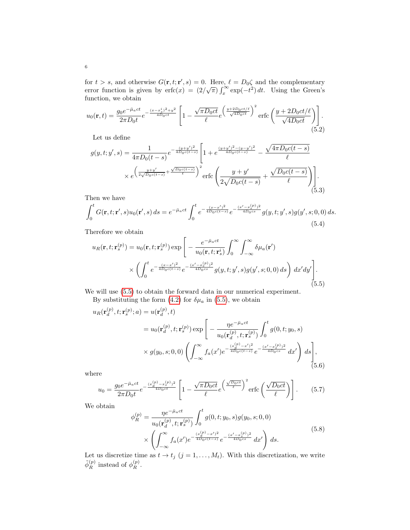for  $t > s$ , and otherwise  $G(\mathbf{r}, t; \mathbf{r}', s) = 0$ . Here,  $\ell = D_0 \zeta$  and the complementary For  $\ell > 8$ , and otherwise  $G(\mathbf{r}, \ell; \mathbf{r}, s) = 0$ . Here,  $\ell = D_0 \zeta$  and the complementary<br>error function is given by  $\text{erfc}(x) = (2/\sqrt{\pi}) \int_x^\infty \exp(-t^2) dt$ . Using the Green's function, we obtain

$$
u_0(\mathbf{r},t) = \frac{g_0 e^{-\bar{\mu}_a ct}}{2\pi D_0 t} e^{-\frac{(x-x_s^i)^2 + y^2}{4\bar{D}_0 ct}} \left[1 - \frac{\sqrt{\pi D_0 ct}}{\ell} e^{\left(\frac{y+2D_0 ct/\ell}{\sqrt{4D_0 ct}}\right)^2} \text{erfc}\left(\frac{y+2D_0 ct/\ell}{\sqrt{4D_0 ct}}\right)\right].
$$
\n(5.2)

Let us define

$$
g(y, t; y', s) = \frac{1}{4\pi D_0 (t - s)} e^{-\frac{(y + y')^2}{4D_0 c(t - s)}} \left[ 1 + e^{\frac{(y + y')^2 - (y - y')^2}{4D_0 c(t - s)}} - \frac{\sqrt{4\pi D_0 c(t - s)}}{\ell} \right]
$$

$$
\times e^{\left(\frac{y + y'}{2\sqrt{D_0 c(t - s)}} + \frac{\sqrt{D_0 c(t - s)}}{\ell}\right)^2} \text{erfc}\left(\frac{y + y'}{2\sqrt{D_0 c(t - s)}} + \frac{\sqrt{D_0 c(t - s)}}{\ell} \right) \left[ \frac{\sqrt{D_0 c(t - s)}}{\ell} \right].
$$
(5.3)

Then we have

$$
\int_0^t G(\mathbf{r}, t; \mathbf{r}', s) u_0(\mathbf{r}', s) ds = e^{-\bar{\mu}_a ct} \int_0^t e^{-\frac{(x - x')^2}{4D_0 c(t - s)}} e^{-\frac{(x' - x_s^{(p)})^2}{4D_0 c s}} g(y, t; y', s) g(y', s; 0, 0) ds.
$$
\n(5.4)

Therefore we obtain

<span id="page-5-0"></span>
$$
u_R(\mathbf{r},t;\mathbf{r}_s^{(p)}) = u_0(\mathbf{r},t;\mathbf{r}_s^{(p)}) \exp\left[-\frac{e^{-\bar{\mu}_a ct}}{u_0(\mathbf{r},t;\mathbf{r}_s^i)} \int_0^\infty \int_{-\infty}^\infty \delta \mu_a(\mathbf{r}')\right] \times \left(\int_0^t e^{-\frac{(x-x')^2}{4D_0c(t-s)}} e^{-\frac{(x'-x_s^{(p)})^2}{4D_0cs}} g(y,t;y',s)g(y',s;0,0) \, ds\right) \, dx'dy'\right]. \tag{5.5}
$$

We will use [\(5.5\)](#page-5-0) to obtain the forward data in our numerical experiment.

By substituting the form [\(4.2\)](#page-4-2) for  $\delta\mu_a$  in [\(5.5\)](#page-5-0), we obtain

<span id="page-5-1"></span>
$$
u_R(\mathbf{r}_d^{(p)}, t; \mathbf{r}_s^{(p)}; a) = u(\mathbf{r}_d^{(p)}, t)
$$
  
=  $u_0(\mathbf{r}_d^{(p)}, t; \mathbf{r}_s^{(p)}) \exp\left[-\frac{\eta e^{-\bar{\mu}_a ct}}{u_0(\mathbf{r}_d^{(p)}, t; \mathbf{r}_s^{(p)})} \int_0^t g(0, t; y_0, s) \times g(y_0, s; 0, 0) \left(\int_{-\infty}^{\infty} f_a(x') e^{-\frac{(x_d^{(p)} - x')^2}{4D_0 c(t-s)}} e^{-\frac{(x'-x_s^{(p)})^2}{4D_0 cs}} dx'\right) ds\right],$   
(5.6)

where

$$
u_0 = \frac{g_0 e^{-\bar{\mu}_a ct}}{2\pi D_0 t} e^{-\frac{(x_d^{(p)} - x_s^{(p)})^2}{4D_0 ct}} \left[ 1 - \frac{\sqrt{\pi D_0 ct}}{\ell} e^{-\frac{\sqrt{D_0 ct}}{\ell}} \right]^2 \text{erfc}\left(\frac{\sqrt{D_0 ct}}{\ell}\right) \right]. \tag{5.7}
$$

We obtain

$$
\phi_R^{(p)} = \frac{\eta e^{-\bar{\mu}_a ct}}{u_0(\mathbf{r}_d^{(p)}, t; \mathbf{r}_s^{(p)})} \int_0^t g(0, t; y_0, s) g(y_0, s; 0, 0)
$$
  
 
$$
\times \left( \int_{-\infty}^{\infty} f_a(x') e^{-\frac{(x_d^{(p)} - x')^2}{4D_0 c(t - s)}} e^{-\frac{(x' - x_s^{(p)})^2}{4D_0 c s}} dx' \right) ds.
$$
\n(5.8)

Let us discretize time as  $t \to t_j$   $(j = 1, ..., M_t)$ . With this discretization, we write  $\tilde{\phi}_R^{(p)}$  instead of  $\phi_R^{(p)}$ .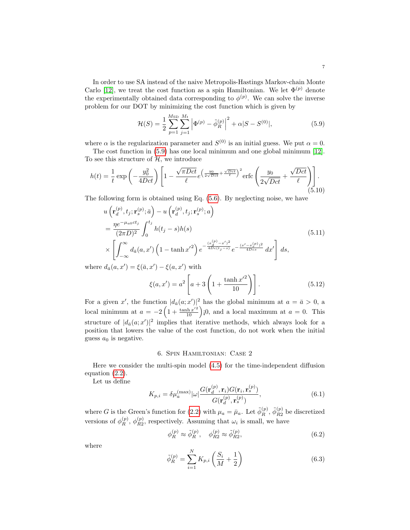In order to use SA instead of the naive Metropolis-Hastings Markov-chain Monte Carlo [\[12\]](#page-13-5), we treat the cost function as a spin Hamiltonian. We let  $\Phi^{(p)}$  denote the experimentally obtained data corresponding to  $\phi^{(p)}$ . We can solve the inverse problem for our DOT by minimizing the cost function which is given by

<span id="page-6-1"></span>
$$
\mathcal{H}(S) = \frac{1}{2} \sum_{p=1}^{M_{\rm SD}} \sum_{j=1}^{M_t} \left| \Phi^{(p)} - \tilde{\phi}_R^{(p)} \right|^2 + \alpha |S - S^{(0)}|,\tag{5.9}
$$

where  $\alpha$  is the regularization parameter and  $S^{(0)}$  is an initial guess. We put  $\alpha = 0$ .

The cost function in [\(5.9\)](#page-6-1) has one local minimum and one global minimum [\[12\]](#page-13-5). To see this structure of  $H$ , we introduce

$$
h(t) = \frac{1}{t} \exp\left(-\frac{y_0^2}{4Dct}\right) \left[1 - \frac{\sqrt{\pi Dct}}{\ell} e^{\left(\frac{y_0}{2\sqrt{Dct}} + \frac{\sqrt{Dct}}{\ell}\right)^2} \text{erfc}\left(\frac{y_0}{2\sqrt{Dct}} + \frac{\sqrt{Dct}}{\ell}\right)\right].\tag{5.10}
$$

The following form is obtained using Eq. [\(5.6\)](#page-5-1). By neglecting noise, we have

$$
u\left(\mathbf{r}_{d}^{(p)},t_{j};\mathbf{r}_{s}^{(p)};\bar{a}\right)-u\left(\mathbf{r}_{d}^{(p)},t_{j};\mathbf{r}_{s}^{(p)};a\right)
$$
  
\n
$$
=\frac{\eta e^{-\mu_{a0}ct_{j}}}{(2\pi D)^{2}}\int_{0}^{t_{j}}h(t_{j}-s)h(s)
$$
  
\n
$$
\times\left[\int_{-\infty}^{\infty}d_{\bar{a}}(a,x')\left(1-\tanh x'^{2}\right)e^{-\frac{(x_{d}^{(p)}-x')^{2}}{4Dc(t_{j}-s)}}e^{-\frac{(x'-x_{s}^{(p)})^{2}}{4Dcs}}dx'\right]ds,
$$
\n(5.11)

where  $d_{\bar{a}}(a, x') = \xi(\bar{a}, x') - \xi(a, x')$  with

 $\sim$ 

$$
\xi(a, x') = a^2 \left[ a + 3 \left( 1 + \frac{\tanh x'^2}{10} \right) \right].
$$
 (5.12)

For a given x', the function  $|d_{\bar{a}}(a; x')|^2$  has the global minimum at  $a = \bar{a} > 0$ , a local minimum at  $a = -2\left(1 + \frac{\tanh x'^2}{10}\right)$  j0, and a local maximum at  $a = 0$ . This structure of  $|d_{\bar{a}}(a; x')|^2$  implies that iterative methods, which always look for a position that lowers the value of the cost function, do not work when the initial guess  $a_0$  is negative.

## 6. Spin Hamiltonian: Case 2

<span id="page-6-0"></span>Here we consider the multi-spin model [\(4.5\)](#page-4-3) for the time-independent diffusion equation [\(2.2\)](#page-1-1).

Let us define

$$
K_{p,i} = \delta \mu_a^{(\text{max})} |\omega| \frac{G(\mathbf{r}_d^{(p)}, \mathbf{r}_i) G(\mathbf{r}_i, \mathbf{r}_s^{(p)})}{G(\mathbf{r}_d^{(p)}, \mathbf{r}_s^{(p)})},
$$
(6.1)

where G is the Green's function for [\(2.2\)](#page-1-1) with  $\mu_a = \bar{\mu}_a$ . Let  $\tilde{\phi}_R^{(p)}$ ,  $\tilde{\phi}_{R2}^{(p)}$  $\frac{P}{R2}$  be discretized versions of  $\phi_R^{(p)}$ ,  $\phi_{R2}^{(p)}$  $\frac{N(p)}{R2}$ , respectively. Assuming that  $\omega_i$  is small, we have

$$
\phi_R^{(p)} \approx \tilde{\phi}_R^{(p)}, \quad \phi_{R2}^{(p)} \approx \tilde{\phi}_{R2}^{(p)},\tag{6.2}
$$

where

$$
\tilde{\phi}_R^{(p)} = \sum_{i=1}^N K_{p,i} \left( \frac{S_i}{M} + \frac{1}{2} \right)
$$
\n(6.3)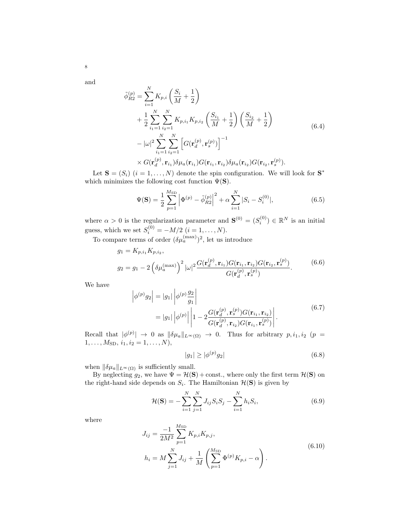and

8

$$
\tilde{\phi}_{R2}^{(p)} = \sum_{i=1}^{N} K_{p,i} \left( \frac{S_i}{M} + \frac{1}{2} \right) \n+ \frac{1}{2} \sum_{i_1=1}^{N} \sum_{i_2=1}^{N} K_{p,i_1} K_{p,i_2} \left( \frac{S_{i_1}}{M} + \frac{1}{2} \right) \left( \frac{S_{i_2}}{M} + \frac{1}{2} \right) \n- |\omega|^2 \sum_{i_1=1}^{N} \sum_{i_2=1}^{N} \left[ G(\mathbf{r}_d^{(p)}, \mathbf{r}_s^{(p)}) \right]^{-1} \n\times G(\mathbf{r}_d^{(p)}, \mathbf{r}_{i_1}) \delta \mu_a(\mathbf{r}_{i_1}) G(\mathbf{r}_{i_1}, \mathbf{r}_{i_2}) \delta \mu_a(\mathbf{r}_{i_2}) G(\mathbf{r}_{i_2}, \mathbf{r}_s^{(p)}).
$$
\n(6.4)

Let  $\mathbf{S} = (S_i)$   $(i = 1, ..., N)$  denote the spin configuration. We will look for  $\mathbf{S}^*$ which minimizes the following cost function  $\Psi(\mathbf{S})$ .

$$
\Psi(\mathbf{S}) = \frac{1}{2} \sum_{p=1}^{M_{\rm SD}} \left| \Phi^{(p)} - \tilde{\phi}_{R2}^{(p)} \right|^2 + \alpha \sum_{i=1}^{N} |S_i - S_i^{(0)}|,\tag{6.5}
$$

where  $\alpha > 0$  is the regularization parameter and  $\mathbf{S}^{(0)} = (S_i^{(0)}) \in \mathbb{R}^N$  is an initial guess, which we set  $S_i^{(0)} = -M/2$   $(i = 1, ..., N)$ .

To compare terms of order  $(\delta \mu_a^{(\text{max})})^2$ , let us introduce

$$
g_1 = K_{p,i_1} K_{p,i_2},
$$
  
\n
$$
g_2 = g_1 - 2 \left( \delta \mu_a^{(\text{max})} \right)^2 |\omega|^2 \frac{G(\mathbf{r}_d^{(p)}, \mathbf{r}_{i_1}) G(\mathbf{r}_{i_1}, \mathbf{r}_{i_2}) G(\mathbf{r}_{i_2}, \mathbf{r}_s^{(p)})}{G(\mathbf{r}_d^{(p)}, \mathbf{r}_s^{(p)})}.
$$
\n(6.6)

We have

$$
\left| \phi^{(p)} g_2 \right| = |g_1| \left| \phi^{(p)} \frac{g_2}{g_1} \right|
$$
  
=  $|g_1| \left| \phi^{(p)} \right| \left| 1 - 2 \frac{G(\mathbf{r}_d^{(p)}, \mathbf{r}_s^{(p)}) G(\mathbf{r}_{i_1}, \mathbf{r}_{i_2})}{G(\mathbf{r}_d^{(p)}, \mathbf{r}_{i_2}) G(\mathbf{r}_{i_1}, \mathbf{r}_s^{(p)})} \right|.$  (6.7)

Recall that  $|\phi^{(p)}| \to 0$  as  $\|\delta\mu_a\|_{L^\infty(\Omega)} \to 0$ . Thus for arbitrary  $p, i_1, i_2 \ (p =$  $1, \ldots, M_{SD}, i_1, i_2 = 1, \ldots, N$ 

$$
|g_1| \ge |\phi^{(p)} g_2| \tag{6.8}
$$

when  $\|\delta\mu_a\|_{L^\infty(\Omega)}$  is sufficiently small.

 $\overline{\phantom{a}}$  $\overline{\phantom{a}}$ 

By neglecting  $g_2$ , we have  $\Psi = H(\mathbf{S}) + \text{const.}$ , where only the first term  $H(\mathbf{S})$  on the right-hand side depends on  $S_i$ . The Hamiltonian  $\mathcal{H}(\mathbf{S})$  is given by

<span id="page-7-0"></span>
$$
\mathcal{H}(\mathbf{S}) = -\sum_{i=1}^{N} \sum_{j=1}^{N} J_{ij} S_i S_j - \sum_{i=1}^{N} h_i S_i, \qquad (6.9)
$$

where

$$
J_{ij} = \frac{-1}{2M^2} \sum_{p=1}^{M_{\rm SD}} K_{p,i} K_{p,j},
$$
  
\n
$$
h_i = M \sum_{j=1}^{N} J_{ij} + \frac{1}{M} \left( \sum_{p=1}^{M_{\rm SD}} \Phi^{(p)} K_{p,i} - \alpha \right).
$$
\n(6.10)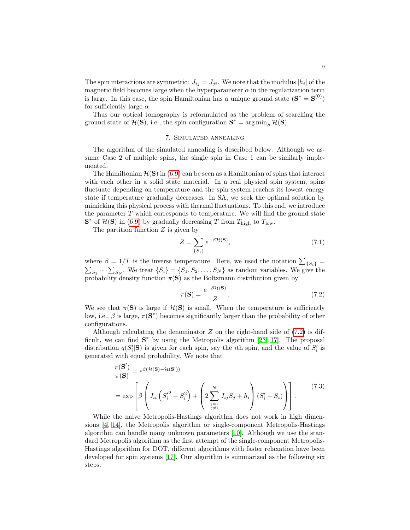The spin interactions are symmetric:  $J_{ij} = J_{ji}$ . We note that the modulus  $|h_i|$  of the magnetic field becomes large when the hyperparameter  $\alpha$  in the regularization term is large. In this case, the spin Hamiltonian has a unique ground state  $(S^* = S^{(0)})$ for sufficiently large  $\alpha$ .

Thus our optical tomography is reformulated as the problem of searching the ground state of  $\mathcal{H}(\mathbf{S})$ , i.e., the spin configuration  $\mathbf{S}^* = \arg \min_S \mathcal{H}(\mathbf{S})$ .

## 7. Simulated annealing

<span id="page-8-0"></span>The algorithm of the simulated annealing is described below. Although we assume Case 2 of multiple spins, the single spin in Case 1 can be similarly implemented.

The Hamiltonian  $\mathcal{H}(\mathbf{S})$  in [\(6.9\)](#page-7-0) can be seen as a Hamiltonian of spins that interact with each other in a solid state material. In a real physical spin system, spins fluctuate depending on temperature and the spin system reaches its lowest energy state if temperature gradually decreases. In SA, we seek the optimal solution by mimicking this physical process with thermal fluctuations. To this end, we introduce the parameter  $T$  which corresponds to temperature. We will find the ground state  $\mathbf{S}^*$  of  $\mathcal{H}(\mathbf{S})$  in [\(6.9\)](#page-7-0) by gradually decreasing T from  $T_{\text{high}}$  to  $T_{\text{low}}$ .

The partition function  $Z$  is given by

$$
Z = \sum_{\{S_i\}} e^{-\beta \mathcal{H}(\mathbf{S})},\tag{7.1}
$$

where  $\beta = 1/T$  is the inverse temperature. Here, we used the notation  $\sum_{\{S_i\}}$  =  $\sum_{S_1} \cdots \sum_{S_N}$ . We treat  $\{S_i\} = \{S_1, S_2, \ldots, S_N\}$  as random variables. We give the probability density function  $\pi(S)$  as the Boltzmann distribution given by

<span id="page-8-1"></span>
$$
\pi(\mathbf{S}) = \frac{e^{-\beta \mathcal{H}(\mathbf{S})}}{Z}.
$$
\n(7.2)

We see that  $\pi(S)$  is large if  $\mathcal{H}(S)$  is small. When the temperature is sufficiently low, i.e.,  $\beta$  is large,  $\pi(S^*)$  becomes significantly larger than the probability of other configurations.

Although calculating the denominator  $Z$  on the right-hand side of  $(7.2)$  is difficult, we can find  $S^*$  by using the Metropolis algorithm [\[23,](#page-14-6) [17\]](#page-13-9). The proposal distribution  $q(S_i'|\mathbf{S})$  is given for each spin, say the *i*th spin, and the value of  $S_i'$  is generated with equal probability. We note that

$$
\frac{\pi(\mathbf{S}')}{\pi(\mathbf{S})} = e^{\beta(\mathcal{H}(\mathbf{S}) - \mathcal{H}(\mathbf{S}'))}
$$
\n
$$
= \exp\left[\beta \left(J_{ii}\left(S_i'^2 - S_i^2\right) + \left(2\sum_{\substack{j=1 \ j \neq i}}^N J_{ij}S_j + h_i\right)(S_i' - S_i)\right)\right].
$$
\n(7.3)

While the naive Metropolis-Hastings algorithm does not work in high dimensions [\[4,](#page-13-12) [14\]](#page-13-13), the Metropolis algorithm or single-component Metropolis-Hastings algorithm can handle many unknown parameters [\[10\]](#page-13-14). Although we use the standard Metropolis algorithm as the first attempt of the single-component Metropolis-Hastings algorithm for DOT, different algorithms with faster relaxation have been developed for spin systems [\[17\]](#page-13-9). Our algorithm is summarized as the following six steps.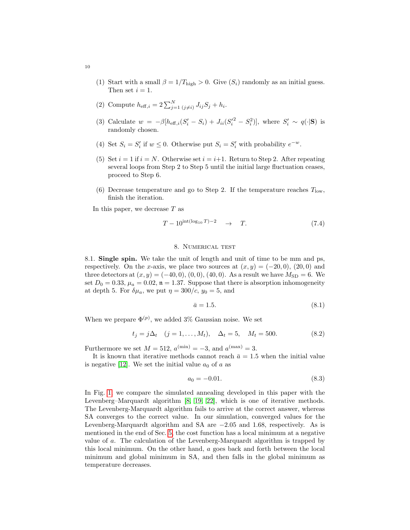(1) Start with a small  $\beta = 1/T_{\text{high}} > 0$ . Give  $(S_i)$  randomly as an initial guess. Then set  $i = 1$ .

(2) Compute 
$$
h_{\text{eff},i} = 2 \sum_{j=1}^{N} \sum_{(j \neq i)} J_{ij} S_j + h_i
$$
.

- (3) Calculate  $w = -\beta[h_{\text{eff},i}(S_i' S_i) + J_{ii}(S_i'^2 S_i^2)],$  where  $S_i' \sim q(\cdot | \mathbf{S})$  is randomly chosen.
- (4) Set  $S_i = S'_i$  if  $w \leq 0$ . Otherwise put  $S_i = S'_i$  with probability  $e^{-w}$ .
- (5) Set  $i = 1$  if  $i = N$ . Otherwise set  $i = i+1$ . Return to Step 2. After repeating several loops from Step 2 to Step 5 until the initial large fluctuation ceases, proceed to Step 6.
- (6) Decrease temperature and go to Step 2. If the temperature reaches  $T_{\text{low}}$ , finish the iteration.

In this paper, we decrease  $T$  as

$$
T - 10^{\text{int}(\log_{10} T) - 2} \quad \rightarrow \quad T. \tag{7.4}
$$

## 8. Numerical test

<span id="page-9-0"></span>8.1. Single spin. We take the unit of length and unit of time to be mm and ps, respectively. On the x-axis, we place two sources at  $(x, y) = (-20, 0), (20, 0)$  and three detectors at  $(x, y) = (-40, 0), (0, 0), (40, 0)$ . As a result we have  $M_{SD} = 6$ . We set  $D_0 = 0.33$ ,  $\mu_a = 0.02$ ,  $\mathfrak{n} = 1.37$ . Suppose that there is absorption inhomogeneity at depth 5. For  $\delta \mu_a$ , we put  $\eta = 300/c$ ,  $y_0 = 5$ , and

$$
\bar{a} = 1.5. \tag{8.1}
$$

When we prepare  $\Phi^{(p)}$ , we added 3% Gaussian noise. We set

$$
t_j = j\Delta_t \quad (j = 1, ..., M_t), \quad \Delta_t = 5, \quad M_t = 500. \tag{8.2}
$$

Furthermore we set  $M = 512$ ,  $a^{(\min)} = -3$ , and  $a^{(\max)} = 3$ .

It is known that iterative methods cannot reach  $\bar{a} = 1.5$  when the initial value is negative [\[12\]](#page-13-5). We set the initial value  $a_0$  of a as

$$
a_0 = -0.01.\t\t(8.3)
$$

In Fig. [1,](#page-10-0) we compare the simulated annealing developed in this paper with the Levenberg–Marquardt algorithm [\[8,](#page-13-15) [19,](#page-13-16) [22\]](#page-14-7), which is one of iterative methods. The Levenberg-Marquardt algorithm fails to arrive at the correct answer, whereas SA converges to the correct value. In our simulation, converged values for the Levenberg-Marquardt algorithm and SA are −2.05 and 1.68, respectively. As is mentioned in the end of Sec. [5,](#page-4-1) the cost function has a local minimum at a negative value of a. The calculation of the Levenberg-Marquardt algorithm is trapped by this local minimum. On the other hand, a goes back and forth between the local minimum and global minimum in SA, and then falls in the global minimum as temperature decreases.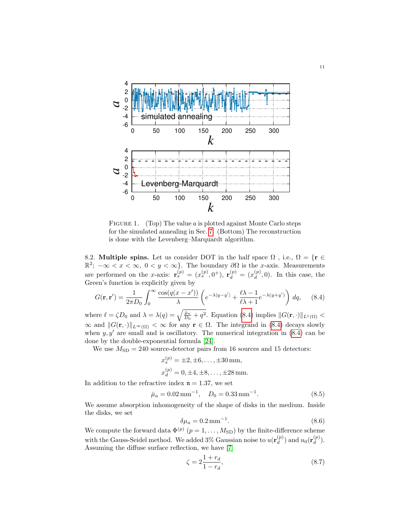

<span id="page-10-0"></span>FIGURE 1. (Top) The value  $a$  is plotted against Monte Carlo steps for the simulated annealing in Sec. [7.](#page-8-0) (Bottom) The reconstruction is done with the Levenberg–Marquardt algorithm.

8.2. Multiple spins. Let us consider DOT in the half space  $\Omega$ , i.e.,  $\Omega = \{r \in$  $\mathbb{R}^2$ ;  $-\infty < x < \infty$ ,  $0 < y < \infty$ }. The boundary  $\partial\Omega$  is the x-axis. Measurements are performed on the x-axis:  $\mathbf{r}_s^{(p)} = (x_s^{(p)}, 0^+), \mathbf{r}_d^{(p)} = (x_d^{(p)})$  $\binom{(p)}{d}$ , 0). In this case, the Green's function is explicitly given by

<span id="page-10-1"></span>
$$
G(\mathbf{r}, \mathbf{r}') = \frac{1}{2\pi D_0} \int_0^\infty \frac{\cos(q(x - x'))}{\lambda} \left( e^{-\lambda|y - y'|} + \frac{\ell \lambda - 1}{\ell \lambda + 1} e^{-\lambda(y + y')} \right) \, dq,\tag{8.4}
$$

where  $\ell = \zeta D_0$  and  $\lambda = \lambda(q) = \sqrt{\frac{\bar{\mu}_a}{D_0} + q^2}$ . Equation [\(8.4\)](#page-10-1) implies  $||G(\mathbf{r}, \cdot)||_{L^1(\Omega)} <$  $\infty$  and  $||G(\mathbf{r}, \cdot)||_{L^{\infty}(\Omega)} < \infty$  for any  $\mathbf{r} \in \Omega$ . The integrand in [\(8.4\)](#page-10-1) decays slowly when  $y, y'$  are small and is oscillatory. The numerical integration in [\(8.4\)](#page-10-1) can be done by the double-exponential formula [\[24\]](#page-14-8).

We use  $M_{\rm SD} = 240$  source-detector pairs from 16 sources and 15 detectors:

$$
x_s^{(p)} = \pm 2, \pm 6, \dots, \pm 30
$$
 mm,  
 $x_d^{(p)} = 0, \pm 4, \pm 8, \dots, \pm 28$  mm.

In addition to the refractive index  $n = 1.37$ , we set

$$
\bar{\mu}_a = 0.02 \,\text{mm}^{-1}, \quad D_0 = 0.33 \,\text{mm}^{-1}.
$$
\n(8.5)

We assume absorption inhomogeneity of the shape of disks in the medium. Inside the disks, we set

$$
\delta \mu_a = 0.2 \,\mathrm{mm}^{-1}.\tag{8.6}
$$

We compute the forward data  $\Phi^{(p)}$   $(p = 1, ..., M_{SD})$  by the finite-difference scheme with the Gauss-Seidel method. We added 3% Gaussian noise to  $u(\mathbf{r}_{d}^{(p)})$  $\binom{p}{d}$  and  $u_0(\mathbf{r}_d^{(p)})$  $\binom{(p)}{d}$ . Assuming the diffuse surface reflection, we have [\[7\]](#page-13-17)

$$
\zeta = 2\frac{1+r_d}{1-r_d},\tag{8.7}
$$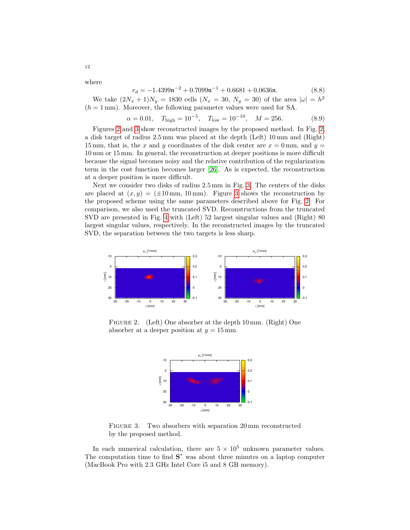where

12

$$
r_d = -1.4399 \,\mathrm{n}^{-2} + 0.7099 \,\mathrm{n}^{-1} + 0.6681 + 0.0636 \,\mathrm{n}.\tag{8.8}
$$

We take  $(2N_x + 1)N_y = 1830$  cells  $(N_x = 30, N_y = 30)$  of the area  $|\omega| = h^2$  $(h = 1 \,\mathrm{mm})$ . Moreover, the following parameter values were used for SA.

$$
\alpha = 0.01
$$
,  $T_{\text{high}} = 10^{-5}$ ,  $T_{\text{low}} = 10^{-10}$ ,  $M = 256$ . (8.9)

Figures [2](#page-11-0) and [3](#page-11-1) show reconstructed images by the proposed method. In Fig. [2,](#page-11-0) a disk target of radius 2.5 mm was placed at the depth (Left) 10 mm and (Right) 15 mm, that is, the x and y coordinates of the disk center are  $x = 0$  mm, and  $y =$ 10 mm or 15 mm. In general, the reconstruction at deeper positions is more difficult because the signal becomes noisy and the relative contribution of the regularization term in the cost function becomes larger [\[26\]](#page-14-4). As is expected, the reconstruction at a deeper position is more difficult.

Next we consider two disks of radius 2.5 mm in Fig. [3.](#page-11-1) The centers of the disks are placed at  $(x, y) = (\pm 10 \text{ mm}, 10 \text{ mm})$ . Figure [3](#page-11-1) shows the reconstruction by the proposed scheme using the same parameters described above for Fig. [2.](#page-11-0) For comparison, we also used the truncated SVD. Reconstructions from the truncated SVD are presented in Fig. [4](#page-12-1) with (Left) 52 largest singular values and (Right) 80 largest singular values, respectively. In the reconstructed images by the truncated SVD, the separation between the two targets is less sharp.



FIGURE 2. (Left) One absorber at the depth 10 mm. (Right) One absorber at a deeper position at  $y = 15$  mm.

<span id="page-11-0"></span>

<span id="page-11-1"></span>FIGURE 3. Two absorbers with separation 20 mm reconstructed by the proposed method.

In each numerical calculation, there are  $5 \times 10^5$  unknown parameter values. The computation time to find  $S^*$  was about three minutes on a laptop computer (MacBook Pro with 2.3 GHz Intel Core i5 and 8 GB memory).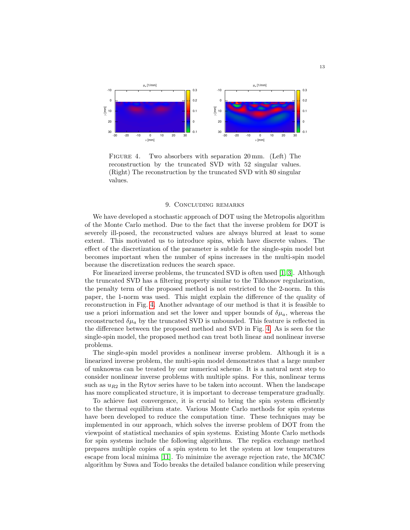

<span id="page-12-1"></span>FIGURE 4. Two absorbers with separation 20 mm. (Left) The reconstruction by the truncated SVD with 52 singular values. (Right) The reconstruction by the truncated SVD with 80 singular values.

#### 9. Concluding remarks

<span id="page-12-0"></span>We have developed a stochastic approach of DOT using the Metropolis algorithm of the Monte Carlo method. Due to the fact that the inverse problem for DOT is severely ill-posed, the reconstructed values are always blurred at least to some extent. This motivated us to introduce spins, which have discrete values. The effect of the discretization of the parameter is subtle for the single-spin model but becomes important when the number of spins increases in the multi-spin model because the discretization reduces the search space.

For linearized inverse problems, the truncated SVD is often used [\[1,](#page-13-1) [3\]](#page-13-2). Although the truncated SVD has a filtering property similar to the Tikhonov regularization, the penalty term of the proposed method is not restricted to the 2-norm. In this paper, the 1-norm was used. This might explain the difference of the quality of reconstruction in Fig. [4.](#page-12-1) Another advantage of our method is that it is feasible to use a priori information and set the lower and upper bounds of  $\delta \mu_a$ , whereas the reconstructed  $\delta \mu_a$  by the truncated SVD is unbounded. This feature is reflected in the difference between the proposed method and SVD in Fig. [4.](#page-12-1) As is seen for the single-spin model, the proposed method can treat both linear and nonlinear inverse problems.

The single-spin model provides a nonlinear inverse problem. Although it is a linearized inverse problem, the multi-spin model demonstrates that a large number of unknowns can be treated by our numerical scheme. It is a natural next step to consider nonlinear inverse problems with multiple spins. For this, nonlinear terms such as  $u_{R2}$  in the Rytov series have to be taken into account. When the landscape has more complicated structure, it is important to decrease temperature gradually.

To achieve fast convergence, it is crucial to bring the spin system efficiently to the thermal equilibrium state. Various Monte Carlo methods for spin systems have been developed to reduce the computation time. These techniques may be implemented in our approach, which solves the inverse problem of DOT from the viewpoint of statistical mechanics of spin systems. Existing Monte Carlo methods for spin systems include the following algorithms. The replica exchange method prepares multiple copies of a spin system to let the system at low temperatures escape from local minima [\[11\]](#page-13-18). To minimize the average rejection rate, the MCMC algorithm by Suwa and Todo breaks the detailed balance condition while preserving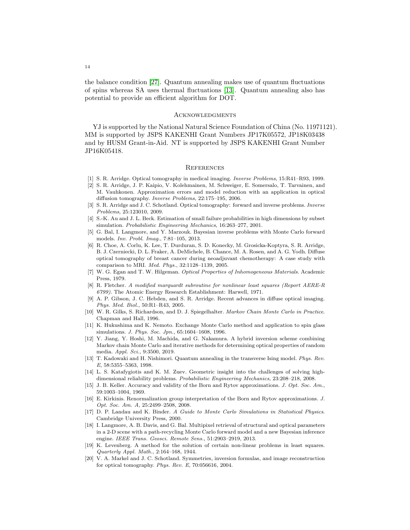the balance condition [\[27\]](#page-14-9). Quantum annealing makes use of quantum fluctuations of spins whereas SA uses thermal fluctuations [\[13\]](#page-13-19). Quantum annealing also has potential to provide an efficient algorithm for DOT.

### **ACKNOWLEDGMENTS**

YJ is supported by the National Natural Science Foundation of China (No. 11971121). MM is supported by JSPS KAKENHI Grant Numbers JP17K05572, JP18K03438 and by HUSM Grant-in-Aid. NT is supported by JSPS KAKENHI Grant Number JP16K05418.

### **REFERENCES**

- <span id="page-13-1"></span>[1] S. R. Arridge. Optical tomography in medical imaging. Inverse Problems, 15:R41–R93, 1999.
- <span id="page-13-6"></span>[2] S. R. Arridge, J. P. Kaipio, V. Kolehmainen, M. Schweiger, E. Somersalo, T. Tarvainen, and M. Vauhkonen. Approximation errors and model reduction with an application in optical diffusion tomography. Inverse Problems, 22:175–195, 2006.
- <span id="page-13-2"></span>[3] S. R. Arridge and J. C. Schotland. Optical tomography: forward and inverse problems. Inverse Problems, 25:123010, 2009.
- <span id="page-13-12"></span>[4] S.-K. Au and J. L. Beck. Estimation of small failure probabilities in high dimensions by subset simulation. Probabilistic Engineering Mechanics, 16:263–277, 2001.
- <span id="page-13-7"></span>[5] G. Bal, I. Langmore, and Y. Marzouk. Bayesian inverse problems with Monte Carlo forward models. Inv. Probl. Imag., 7:81–105, 2013.
- <span id="page-13-4"></span>[6] R. Choe, A. Corlu, K. Lee, T. Durduran, S. D. Konecky, M. Grosicka-Koptyra, S. R. Arridge, B. J. Czerniecki, D. L. Fraker, A. DeMichele, B. Chance, M. A. Rosen, and A. G. Yodh. Diffuse optical tomography of breast cancer during neoadjuvant chemotherapy: A case study with comparison to MRI. Med. Phys., 32:1128–1139, 2005.
- <span id="page-13-17"></span>[7] W. G. Egan and T. W. Hilgeman. Optical Properties of Inhomogeneous Materials. Academic Press, 1979.
- <span id="page-13-15"></span>[8] R. Fletcher. A modified marquardt subroutine for nonlinear least squares (Report AERE-R 6799). The Atomic Energy Research Establishment: Harwell, 1971.
- <span id="page-13-0"></span>[9] A. P. Gibson, J. C. Hebden, and S. R. Arridge. Recent advances in diffuse optical imaging. Phys. Med. Biol., 50:R1–R43, 2005.
- <span id="page-13-14"></span>[10] W. R. Gilks, S. Richardson, and D. J. Spiegelhalter. Markov Chain Monte Carlo in Practice. Chapman and Hall, 1996.
- <span id="page-13-18"></span>[11] K. Hukushima and K. Nemoto. Exchange Monte Carlo method and application to spin glass simulations. J. Phys. Soc. Jpn., 65:1604–1608, 1996.
- <span id="page-13-5"></span>[12] Y. Jiang, Y. Hoshi, M. Machida, and G. Nakamura. A hybrid inversion scheme combining Markov chain Monte Carlo and iterative methods for determining optical properties of random media. Appl. Sci., 9:3500, 2019.
- <span id="page-13-19"></span>[13] T. Kadowaki and H. Nishimori. Quantum annealing in the transverse Ising model. Phys. Rev. E, 58:5355-5363, 1998.
- <span id="page-13-13"></span>[14] L. S. Katafygiotis and K. M. Zuev. Geometric insight into the challenges of solving highdimensional reliability problems. Probabilistic Engineering Mechanics, 23:208–218, 2008.
- <span id="page-13-10"></span>[15] J. B. Keller. Accuracy and validity of the Born and Rytov approximations. J. Opt. Soc. Am., 59:1003–1004, 1969.
- <span id="page-13-11"></span>[16] E. Kirkinis. Renormalization group interpretation of the Born and Rytov approximations. J. Opt. Soc. Am. A, 25:2499–2508, 2008.
- <span id="page-13-9"></span>[17] D. P. Landau and K. Binder. A Guide to Monte Carlo Simulations in Statistical Physics. Cambridge University Press, 2000.
- <span id="page-13-8"></span>[18] I. Langmore, A. B. Davis, and G. Bal. Multipixel retrieval of structural and optical parameters in a 2-D scene with a path-recycling Monte Carlo forward model and a new Bayesian inference engine. IEEE Trans. Geosci. Remote Sens., 51:2903–2919, 2013.
- <span id="page-13-16"></span>[19] K. Levenberg. A method for the solution of certain non-linear problems in least squares. Quarterly Appl. Math., 2:164–168, 1944.
- <span id="page-13-3"></span>[20] V. A. Markel and J. C. Schotland. Symmetries, inversion formulas, and image reconstruction for optical tomography. Phys. Rev. E, 70:056616, 2004.